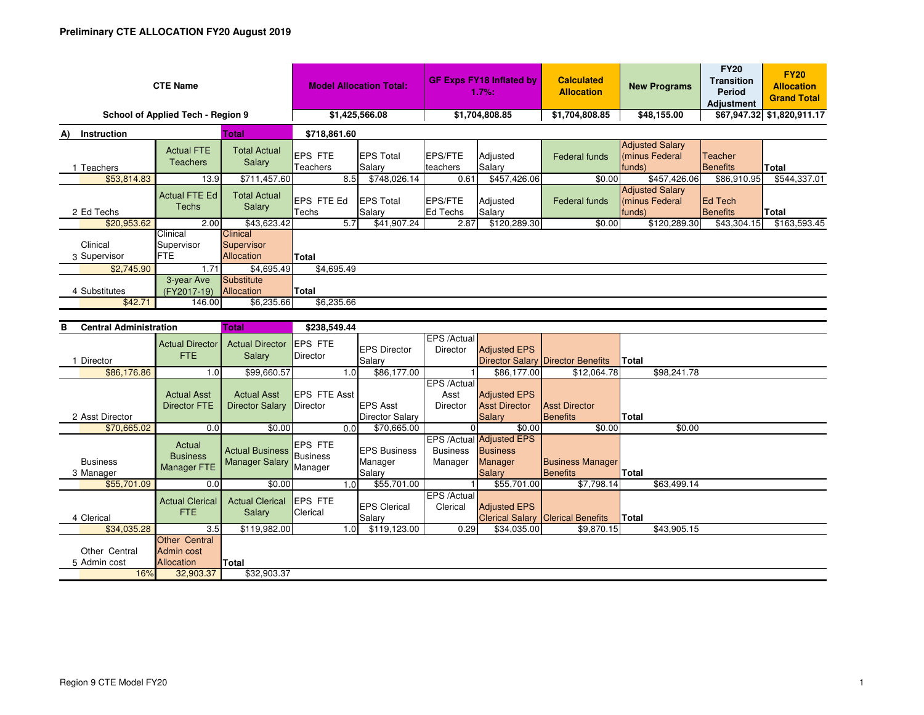| <b>CTE Name</b>                    |                                      |                                                    | <b>Model Allocation Total:</b> |                            | <b>GF Exps FY18 Inflated by</b><br>1.7%: |                    | <b>Calculated</b><br><b>Allocation</b> | <b>New Programs</b>                               | <b>FY20</b><br><b>Transition</b><br><b>Period</b><br><b>Adjustment</b> | <b>FY20</b><br><b>Allocation</b><br><b>Grand Total</b> |
|------------------------------------|--------------------------------------|----------------------------------------------------|--------------------------------|----------------------------|------------------------------------------|--------------------|----------------------------------------|---------------------------------------------------|------------------------------------------------------------------------|--------------------------------------------------------|
| School of Applied Tech - Region 9  |                                      |                                                    | \$1,425,566.08                 |                            | \$1,704,808.85                           |                    | \$1,704,808.85                         | \$48,155.00                                       |                                                                        | \$67,947.32 \$1,820,911.17                             |
| Instruction<br>A)                  |                                      | <b>Total</b>                                       | \$718,861.60                   |                            |                                          |                    |                                        |                                                   |                                                                        |                                                        |
| Teachers                           | <b>Actual FTE</b><br><b>Teachers</b> | <b>Total Actual</b><br>Salary                      | <b>EPS FTE</b><br>Teachers     | <b>EPS Total</b><br>Salary | EPS/FTE<br>teachers                      | Adjusted<br>Salary | Federal funds                          | <b>Adjusted Salary</b><br>minus Federal<br>funds) | <b>Teacher</b><br>Benefits                                             | Total                                                  |
| \$53,814.83                        | 13.9                                 | \$711,457.60                                       | 8.5                            | \$748,026.14               | 0.61                                     | \$457,426.06       | \$0.00                                 | \$457,426.06                                      | \$86,910.95                                                            | \$544,337.01                                           |
| 2 Ed Techs                         | Actual FTE Ed<br>Techs               | <b>Total Actual</b><br>Salary                      | EPS FTE Ed<br>Techs            | <b>EPS Total</b><br>Salary | EPS/FTE<br>Ed Techs                      | Adjusted<br>Salary | Federal funds                          | <b>Adjusted Salary</b><br>minus Federal<br>funds) | <b>Ed Tech</b><br>Benefits                                             | Total                                                  |
| \$20,953.62                        | 2.00                                 | \$43,623.42                                        | 5.7                            | \$41,907.24                | 2.87                                     | \$120,289.30       | \$0.00                                 | \$120,289.30                                      | \$43,304.15                                                            | \$163,593.45                                           |
| Clinical<br>3 Supervisor           | Clinical<br>Supervisor<br><b>FTE</b> | <b>Clinical</b><br>Supervisor<br><b>Allocation</b> | <b>Total</b>                   |                            |                                          |                    |                                        |                                                   |                                                                        |                                                        |
| \$2,745.90                         | 1.71                                 | \$4,695.49                                         | \$4,695.49                     |                            |                                          |                    |                                        |                                                   |                                                                        |                                                        |
| 4 Substitutes<br>\$42.71           | 3-year Ave<br>(FY2017-19)<br>146.00  | Substitute<br>Allocation<br>\$6,235.66             | <b>Total</b><br>\$6,235.66     |                            |                                          |                    |                                        |                                                   |                                                                        |                                                        |
| <b>Central Administration</b><br>в | \$238,549.44                         |                                                    |                                |                            |                                          |                    |                                        |                                                   |                                                                        |                                                        |
|                                    |                                      |                                                    |                                |                            | $FRO (A - L)$                            |                    |                                        |                                                   |                                                                        |                                                        |

| ochuu Aunninou uuon           |                                           | $\sim$                                   | <b>THE CONSTRUCT</b>                   |                                          |                            |                                                                          |                                            |              |             |
|-------------------------------|-------------------------------------------|------------------------------------------|----------------------------------------|------------------------------------------|----------------------------|--------------------------------------------------------------------------|--------------------------------------------|--------------|-------------|
|                               | <b>Actual Director</b><br>FTE.            | <b>Actual Director</b><br>Salary         | <b>IEPS FTE</b><br>Director            | <b>IEPS Director</b>                     | EPS /Actual<br>Director    | <b>Adjusted EPS</b>                                                      |                                            |              |             |
| Director                      |                                           |                                          |                                        | Salary                                   |                            |                                                                          | <b>Director Salary Director Benefits</b>   | <b>Total</b> |             |
| \$86,176.86                   | 1.0                                       | \$99,660.57                              | 1.0                                    | \$86,177.00                              |                            | \$86,177.00                                                              | \$12,064.78                                |              | \$98,241.78 |
|                               |                                           |                                          |                                        |                                          | EPS /Actual                |                                                                          |                                            |              |             |
|                               | <b>Actual Asst</b>                        | <b>Actual Asst</b>                       | <b>EPS FTE Asst</b>                    |                                          | Asst                       | <b>Adjusted EPS</b>                                                      |                                            |              |             |
|                               | <b>Director FTE</b>                       | <b>Director Salary</b>                   | Director                               | <b>EPS Asst</b>                          | Director                   | <b>Asst Director</b>                                                     | <b>Asst Director</b>                       |              |             |
| 2 Asst Director               |                                           |                                          |                                        | <b>Director Salary</b>                   |                            | <b>Salary</b>                                                            | Benefits                                   | Total        |             |
| \$70,665.02                   | 0.0                                       | \$0.00                                   | 0.0                                    | \$70,665.00                              |                            | \$0.00                                                                   | \$0.00                                     |              | \$0.00      |
| <b>Business</b><br>3 Manager  | Actual<br><b>Business</b><br>Manager FTE  | <b>Actual Business</b><br>Manager Salary | <b>IEPS FTE</b><br>Business<br>Manager | <b>EPS Business</b><br>Manager<br>Salary | <b>Business</b><br>Manager | EPS / Actual Adjusted EPS<br><b>Business</b><br>Manager<br><b>Salary</b> | <b>Business Manager</b><br><b>Benefits</b> | <b>Total</b> |             |
| \$55,701.09                   | 0.0                                       | \$0.00                                   | 1.0                                    | \$55,701.00                              |                            | \$55,701.00                                                              | \$7,798.14                                 |              | \$63,499.14 |
| 4 Clerical                    | <b>Actual Clerical</b><br><b>FTE</b>      | <b>Actual Clerical</b><br>Salary         | <b>IEPS FTE</b><br>Clerical            | <b>EPS Clerical</b><br>Salary            | EPS /Actual<br>Clerical    | <b>Adjusted EPS</b>                                                      | <b>Clerical Salary Clerical Benefits</b>   | <b>Total</b> |             |
| \$34,035.28                   | 3.5                                       | \$119,982.00                             | 1.01                                   | \$119,123.00                             | 0.29                       | \$34,035.00                                                              | \$9,870.15                                 |              | \$43,905.15 |
| Other Central<br>5 Admin cost | Other Central<br>Admin cost<br>Allocation | Total                                    |                                        |                                          |                            |                                                                          |                                            |              |             |
| 16%                           | 32,903.37                                 | \$32,903.37                              |                                        |                                          |                            |                                                                          |                                            |              |             |
|                               |                                           |                                          |                                        |                                          |                            |                                                                          |                                            |              |             |